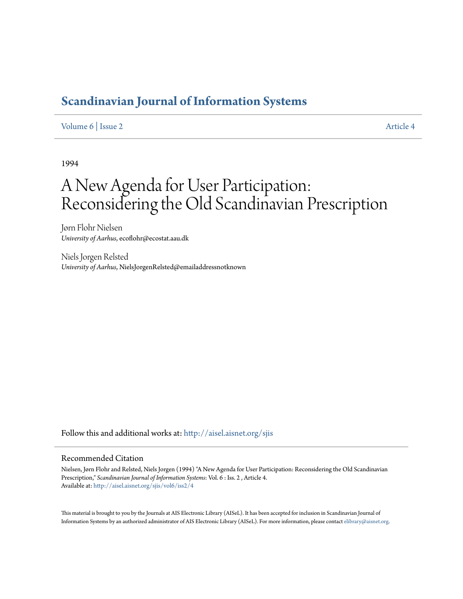# **[Scandinavian Journal of Information Systems](http://aisel.aisnet.org/sjis?utm_source=aisel.aisnet.org%2Fsjis%2Fvol6%2Fiss2%2F4&utm_medium=PDF&utm_campaign=PDFCoverPages)**

# [Volume 6](http://aisel.aisnet.org/sjis/vol6?utm_source=aisel.aisnet.org%2Fsjis%2Fvol6%2Fiss2%2F4&utm_medium=PDF&utm_campaign=PDFCoverPages) | [Issue 2](http://aisel.aisnet.org/sjis/vol6/iss2?utm_source=aisel.aisnet.org%2Fsjis%2Fvol6%2Fiss2%2F4&utm_medium=PDF&utm_campaign=PDFCoverPages) [Article 4](http://aisel.aisnet.org/sjis/vol6/iss2/4?utm_source=aisel.aisnet.org%2Fsjis%2Fvol6%2Fiss2%2F4&utm_medium=PDF&utm_campaign=PDFCoverPages)

1994

# A New Agenda for User Participation: Reconsidering the Old Scandinavian Prescription

Jørn Flohr Nielsen *University of Aarhus*, ecoflohr@ecostat.aau.dk

Niels Jorgen Relsted *University of Aarhus*, NielsJorgenRelsted@emailaddressnotknown

Follow this and additional works at: [http://aisel.aisnet.org/sjis](http://aisel.aisnet.org/sjis?utm_source=aisel.aisnet.org%2Fsjis%2Fvol6%2Fiss2%2F4&utm_medium=PDF&utm_campaign=PDFCoverPages)

# Recommended Citation

Nielsen, Jørn Flohr and Relsted, Niels Jorgen (1994) "A New Agenda for User Participation: Reconsidering the Old Scandinavian Prescription," *Scandinavian Journal of Information Systems*: Vol. 6 : Iss. 2 , Article 4. Available at: [http://aisel.aisnet.org/sjis/vol6/iss2/4](http://aisel.aisnet.org/sjis/vol6/iss2/4?utm_source=aisel.aisnet.org%2Fsjis%2Fvol6%2Fiss2%2F4&utm_medium=PDF&utm_campaign=PDFCoverPages)

This material is brought to you by the Journals at AIS Electronic Library (AISeL). It has been accepted for inclusion in Scandinavian Journal of Information Systems by an authorized administrator of AIS Electronic Library (AISeL). For more information, please contact [elibrary@aisnet.org.](mailto:elibrary@aisnet.org%3E)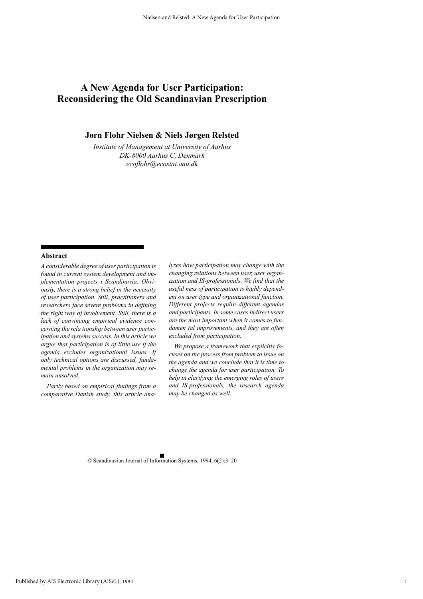# **A New Agenda for User Participation: Reconsidering the Old Scandinavian Prescription**

# **Jørn Flohr Nielsen & Niels Jørgen Relsted**

*Institute of Management at University of Aarhus DK-8000 Aarhus C, Denmark ecoflohr@ecostat.aau.dk*

#### **Abstract**

*A considerable degree of user participation is found in current system development and implementation projects i Scandinavia. Obviously, there is a strong belief in the necessity of user participation. Still, practitioners and researchers face severe problems in defining the right way of involvement. Still, there is a lack of convincing empirical evidence concerning the rela tionship between user participation and systems success. In this article we argue that participation is of little use if the agenda excludes organizational issues. If only technical options are discussed, fundamental problems in the organization may remain unsolved.*

 *Partly based on empirical findings from a comparative Danish study, this article ana-*

*lyzes how participation may change with the changing relations between user, user organization and IS-professionals. We find that the useful ness of participation is highly dependent on user type and organizational function. Different projects require different agendas and participants. In some cases indirect users are the most important when it comes to fundamen tal improvements, and they are often excluded from participation.* 

 *We propose a framework that explicitly focuses on the process from problem to issue on the agenda and we conclude that it is time to change the agenda for user participation. To help in clarifying the emerging roles of users and IS-professionals, the research agenda may be changed as well.*

© Scandinavian Journal of Information Systems, 1994, 6(2):3–20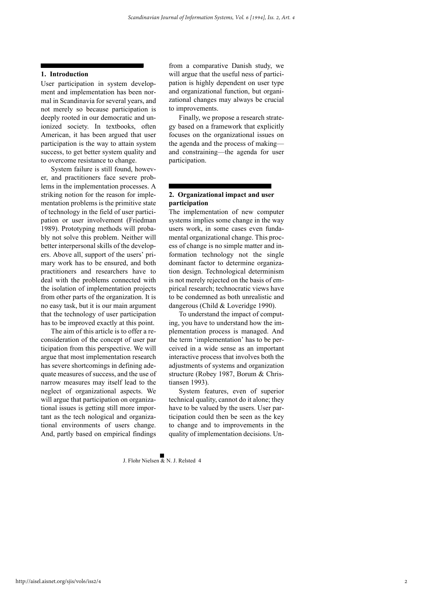## **1. Introduction**

User participation in system development and implementation has been normal in Scandinavia for several years, and not merely so because participation is deeply rooted in our democratic and unionized society. In textbooks, often American, it has been argued that user participation is the way to attain system success, to get better system quality and to overcome resistance to change.

System failure is still found, however, and practitioners face severe problems in the implementation processes. A striking notion for the reason for implementation problems is the primitive state of technology in the field of user participation or user involvement (Friedman 1989). Prototyping methods will probably not solve this problem. Neither will better interpersonal skills of the developers. Above all, support of the users' primary work has to be ensured, and both practitioners and researchers have to deal with the problems connected with the isolation of implementation projects from other parts of the organization. It is no easy task, but it is our main argument that the technology of user participation has to be improved exactly at this point.

The aim of this article is to offer a reconsideration of the concept of user par ticipation from this perspective. We will argue that most implementation research has severe shortcomings in defining adequate measures of success, and the use of narrow measures may itself lead to the neglect of organizational aspects. We will argue that participation on organizational issues is getting still more important as the tech nological and organizational environments of users change. And, partly based on empirical findings

from a comparative Danish study, we will argue that the useful ness of participation is highly dependent on user type and organizational function, but organizational changes may always be crucial to improvements.

Finally, we propose a research strategy based on a framework that explicitly focuses on the organizational issues on the agenda and the process of making and constraining—the agenda for user participation.

# **2. Organizational impact and user participation**

The implementation of new computer systems implies some change in the way users work, in some cases even fundamental organizational change. This process of change is no simple matter and information technology not the single dominant factor to determine organization design. Technological determinism is not merely rejected on the basis of empirical research; technocratic views have to be condemned as both unrealistic and dangerous (Child & Loveridge 1990).

To understand the impact of computing, you have to understand how the implementation process is managed. And the term 'implementation' has to be perceived in a wide sense as an important interactive process that involves both the adjustments of systems and organization structure (Robey 1987, Borum & Christiansen 1993).

System features, even of superior technical quality, cannot do it alone; they have to be valued by the users. User participation could then be seen as the key to change and to improvements in the quality of implementation decisions. Un-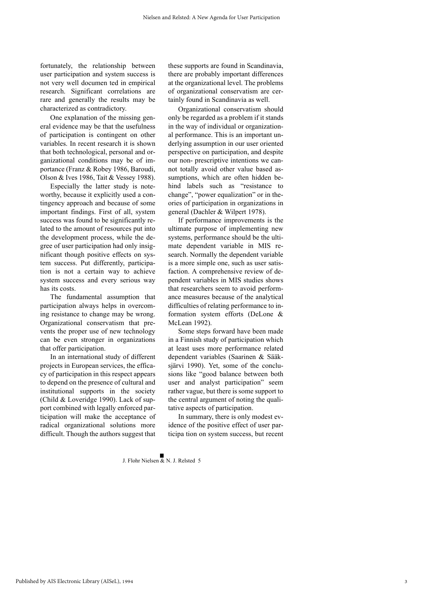fortunately, the relationship between user participation and system success is not very well documen ted in empirical research. Significant correlations are rare and generally the results may be characterized as contradictory.

One explanation of the missing general evidence may be that the usefulness of participation is contingent on other variables. In recent research it is shown that both technological, personal and organizational conditions may be of importance (Franz & Robey 1986, Baroudi, Olson & Ives 1986, Tait & Vessey 1988).

Especially the latter study is noteworthy, because it explicitly used a contingency approach and because of some important findings. First of all, system success was found to be significantly related to the amount of resources put into the development process, while the degree of user participation had only insignificant though positive effects on system success. Put differently, participation is not a certain way to achieve system success and every serious way has its costs.

The fundamental assumption that participation always helps in overcoming resistance to change may be wrong. Organizational conservatism that prevents the proper use of new technology can be even stronger in organizations that offer participation.

In an international study of different projects in European services, the efficacy of participation in this respect appears to depend on the presence of cultural and institutional supports in the society (Child & Loveridge 1990). Lack of support combined with legally enforced participation will make the acceptance of radical organizational solutions more difficult. Though the authors suggest that these supports are found in Scandinavia, there are probably important differences at the organizational level. The problems of organizational conservatism are certainly found in Scandinavia as well.

Organizational conservatism should only be regarded as a problem if it stands in the way of individual or organizational performance. This is an important underlying assumption in our user oriented perspective on participation, and despite our non- prescriptive intentions we cannot totally avoid other value based assumptions, which are often hidden behind labels such as "resistance to change", "power equalization" or in theories of participation in organizations in general (Dachler & Wilpert 1978).

If performance improvements is the ultimate purpose of implementing new systems, performance should be the ultimate dependent variable in MIS research. Normally the dependent variable is a more simple one, such as user satisfaction. A comprehensive review of dependent variables in MIS studies shows that researchers seem to avoid performance measures because of the analytical difficulties of relating performance to information system efforts (DeLone & McLean 1992).

Some steps forward have been made in a Finnish study of participation which at least uses more performance related dependent variables (Saarinen & Sääksjärvi 1990). Yet, some of the conclusions like "good balance between both user and analyst participation" seem rather vague, but there is some support to the central argument of noting the qualitative aspects of participation.

In summary, there is only modest evidence of the positive effect of user participa tion on system success, but recent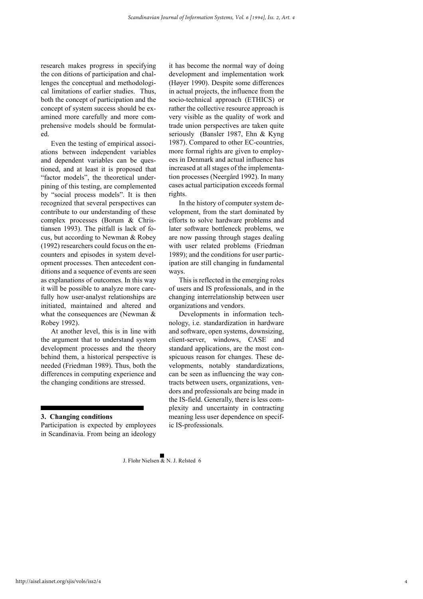research makes progress in specifying the con ditions of participation and challenges the conceptual and methodological limitations of earlier studies. Thus, both the concept of participation and the concept of system success should be examined more carefully and more comprehensive models should be formulated.

Even the testing of empirical associations between independent variables and dependent variables can be questioned, and at least it is proposed that "factor models", the theoretical underpining of this testing, are complemented by "social process models". It is then recognized that several perspectives can contribute to our understanding of these complex processes (Borum & Christiansen 1993). The pitfall is lack of focus, but according to Newman & Robey (1992) researchers could focus on the encounters and episodes in system development processes. Then antecedent conditions and a sequence of events are seen as explanations of outcomes. In this way it will be possible to analyze more carefully how user-analyst relationships are initiated, maintained and altered and what the consequences are (Newman & Robey 1992).

At another level, this is in line with the argument that to understand system development processes and the theory behind them, a historical perspective is needed (Friedman 1989). Thus, both the differences in computing experience and the changing conditions are stressed.

#### **3. Changing conditions**

Participation is expected by employees in Scandinavia. From being an ideology

it has become the normal way of doing development and implementation work (Høyer 1990). Despite some differences in actual projects, the influence from the socio-technical approach (ETHICS) or rather the collective resource approach is very visible as the quality of work and trade union perspectives are taken quite seriously (Bansler 1987, Ehn & Kyng 1987). Compared to other EC-countries, more formal rights are given to employees in Denmark and actual influence has increased at all stages of the implementation processes (Neergård 1992). In many cases actual participation exceeds formal rights.

In the history of computer system development, from the start dominated by efforts to solve hardware problems and later software bottleneck problems, we are now passing through stages dealing with user related problems (Friedman 1989); and the conditions for user participation are still changing in fundamental ways.

This is reflected in the emerging roles of users and IS professionals, and in the changing interrelationship between user organizations and vendors.

Developments in information technology, i.e. standardization in hardware and software, open systems, downsizing, client-server, windows, CASE and standard applications, are the most conspicuous reason for changes. These developments, notably standardizations, can be seen as influencing the way contracts between users, organizations, vendors and professionals are being made in the IS-field. Generally, there is less complexity and uncertainty in contracting meaning less user dependence on specific IS-professionals.

4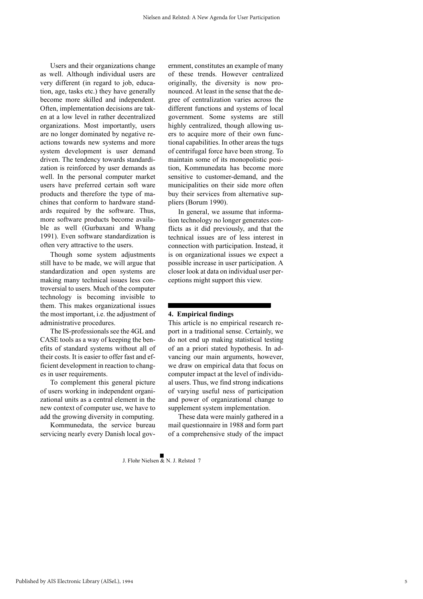Users and their organizations change as well. Although individual users are very different (in regard to job, education, age, tasks etc.) they have generally become more skilled and independent. Often, implementation decisions are taken at a low level in rather decentralized organizations. Most importantly, users are no longer dominated by negative reactions towards new systems and more system development is user demand driven. The tendency towards standardization is reinforced by user demands as well. In the personal computer market users have preferred certain soft ware products and therefore the type of machines that conform to hardware standards required by the software. Thus, more software products become available as well (Gurbaxani and Whang 1991). Even software standardization is often very attractive to the users.

Though some system adjustments still have to be made, we will argue that standardization and open systems are making many technical issues less controversial to users. Much of the computer technology is becoming invisible to them. This makes organizational issues the most important, i.e. the adjustment of administrative procedures.

The IS-professionals see the 4GL and CASE tools as a way of keeping the benefits of standard systems without all of their costs. It is easier to offer fast and efficient development in reaction to changes in user requirements.

To complement this general picture of users working in independent organizational units as a central element in the new context of computer use, we have to add the growing diversity in computing.

Kommunedata, the service bureau servicing nearly every Danish local government, constitutes an example of many of these trends. However centralized originally, the diversity is now pronounced. At least in the sense that the degree of centralization varies across the different functions and systems of local government. Some systems are still highly centralized, though allowing users to acquire more of their own functional capabilities. In other areas the tugs of centrifugal force have been strong. To maintain some of its monopolistic position, Kommunedata has become more sensitive to customer-demand, and the municipalities on their side more often buy their services from alternative suppliers (Borum 1990).

In general, we assume that information technology no longer generates conflicts as it did previously, and that the technical issues are of less interest in connection with participation. Instead, it is on organizational issues we expect a possible increase in user participation. A closer look at data on individual user perceptions might support this view.

# **4. Empirical findings**

This article is no empirical research report in a traditional sense. Certainly, we do not end up making statistical testing of an a priori stated hypothesis. In advancing our main arguments, however, we draw on empirical data that focus on computer impact at the level of individual users. Thus, we find strong indications of varying useful ness of participation and power of organizational change to supplement system implementation.

These data were mainly gathered in a mail questionnaire in 1988 and form part of a comprehensive study of the impact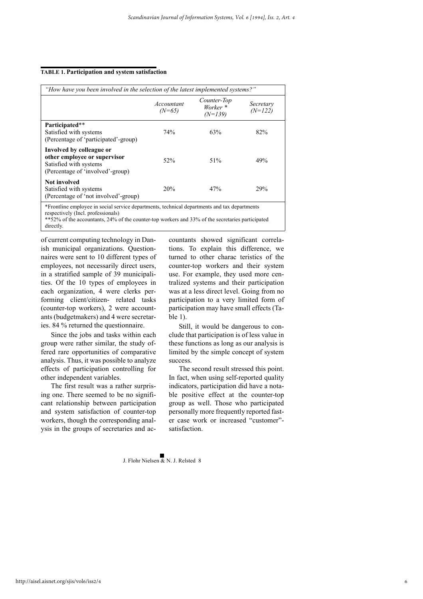#### **TABLE 1. Participation and system satisfaction**

| "How have you been involved in the selection of the latest implemented systems?"                                       |                        |                                                 |                        |  |
|------------------------------------------------------------------------------------------------------------------------|------------------------|-------------------------------------------------|------------------------|--|
|                                                                                                                        | Accountant<br>$(N=65)$ | Counter-Top<br>Worker <sup>*</sup><br>$(N=139)$ | Secretary<br>$(N=122)$ |  |
| Participated**<br>Satisfied with systems<br>(Percentage of 'participated'-group)                                       | 74%                    | 63%                                             | 82%                    |  |
| Involved by colleague or<br>other employee or supervisor<br>Satisfied with systems<br>(Percentage of 'involved'-group) | 52%                    | 51%                                             | 49%                    |  |
| <b>Not involved</b><br>Satisfied with systems<br>(Percentage of 'not involved'-group)                                  | 20%                    | 47%                                             | 29%                    |  |

\*Frontline employee in social service departments, technical departments and tax departments respectively (Incl. professionals)

\*\*52% of the accountants, 24% of the counter-top workers and 33% of the secretaries participated directly.

of current computing technology in Danish municipal organizations. Questionnaires were sent to 10 different types of employees, not necessarily direct users, in a stratified sample of 39 municipalities. Of the 10 types of employees in each organization, 4 were clerks performing client/citizen- related tasks (counter-top workers), 2 were accountants (budgetmakers) and 4 were secretaries. 84 % returned the questionnaire.

Since the jobs and tasks within each group were rather similar, the study offered rare opportunities of comparative analysis. Thus, it was possible to analyze effects of participation controlling for other independent variables.

The first result was a rather surprising one. There seemed to be no significant relationship between participation and system satisfaction of counter-top workers, though the corresponding analysis in the groups of secretaries and accountants showed significant correlations. To explain this difference, we turned to other charac teristics of the counter-top workers and their system use. For example, they used more centralized systems and their participation was at a less direct level. Going from no participation to a very limited form of participation may have small effects (Ta $ble<sub>1</sub>$ .

Still, it would be dangerous to conclude that participation is of less value in these functions as long as our analysis is limited by the simple concept of system success.

The second result stressed this point. In fact, when using self-reported quality indicators, participation did have a notable positive effect at the counter-top group as well. Those who participated personally more frequently reported faster case work or increased "customer" satisfaction.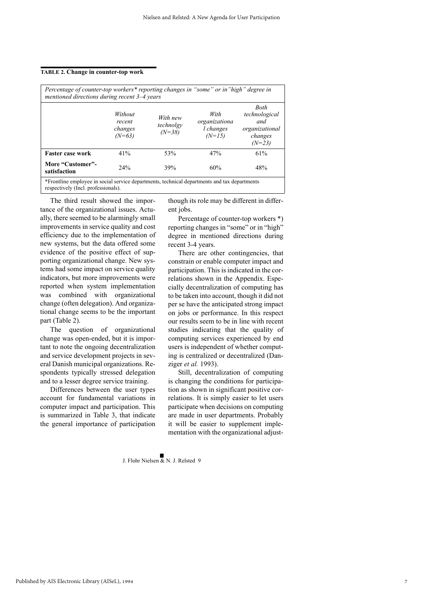#### **TABLE 2. Change in counter-top work**

| Percentage of counter-top workers* reporting changes in "some" or in "high" degree in<br>mentioned directions during recent 3–4 years |                                          |                                   |                                                |                                                                              |  |
|---------------------------------------------------------------------------------------------------------------------------------------|------------------------------------------|-----------------------------------|------------------------------------------------|------------------------------------------------------------------------------|--|
|                                                                                                                                       | Without<br>recent<br>changes<br>$(N=63)$ | With new<br>technolgy<br>$(N=38)$ | With<br>organizationa<br>l changes<br>$(N=15)$ | <b>Both</b><br>technological<br>and<br>organizational<br>changes<br>$(N=23)$ |  |
| <b>Faster case work</b>                                                                                                               | 41%                                      | 53%                               | 47%                                            | 61%                                                                          |  |
| More "Customer"-<br>satisfaction                                                                                                      | 24%                                      | 39%                               | 60%                                            | 48%                                                                          |  |
| *Frontline employee in social service departments, technical departments and tax departments                                          |                                          |                                   |                                                |                                                                              |  |

respectively (Incl. professionals).

The third result showed the importance of the organizational issues. Actually, there seemed to be alarmingly small improvements in service quality and cost efficiency due to the implementation of new systems, but the data offered some evidence of the positive effect of supporting organizational change. New systems had some impact on service quality indicators, but more improvements were reported when system implementation was combined with organizational change (often delegation). And organizational change seems to be the important part (Table 2).

The question of organizational change was open-ended, but it is important to note the ongoing decentralization and service development projects in several Danish municipal organizations. Respondents typically stressed delegation and to a lesser degree service training.

Differences between the user types account for fundamental variations in computer impact and participation. This is summarized in Table 3, that indicate the general importance of participation though its role may be different in different jobs.

Percentage of counter-top workers \*) reporting changes in "some" or in "high" degree in mentioned directions during recent 3-4 years.

There are other contingencies, that constrain or enable computer impact and participation. This is indicated in the correlations shown in the Appendix. Especially decentralization of computing has to be taken into account, though it did not per se have the anticipated strong impact on jobs or performance. In this respect our results seem to be in line with recent studies indicating that the quality of computing services experienced by end users is independent of whether computing is centralized or decentralized (Danziger *et al.* 1993).

Still, decentralization of computing is changing the conditions for participation as shown in significant positive correlations. It is simply easier to let users participate when decisions on computing are made in user departments. Probably it will be easier to supplement implementation with the organizational adjust-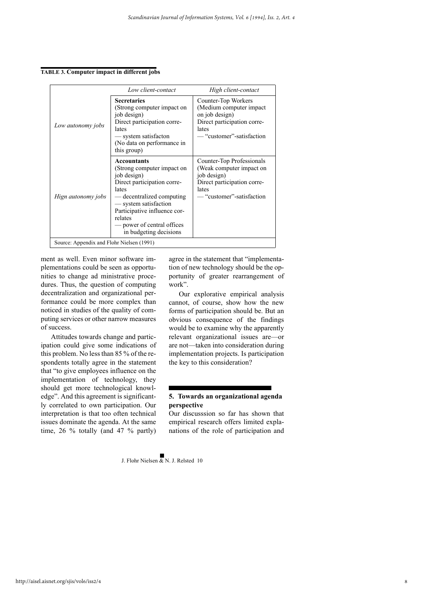**TABLE 3. Computer impact in different jobs**

|                                           | Low client-contact                                                                                                                                                                                                                                               | High client-contact                                                                                                                       |
|-------------------------------------------|------------------------------------------------------------------------------------------------------------------------------------------------------------------------------------------------------------------------------------------------------------------|-------------------------------------------------------------------------------------------------------------------------------------------|
| Low autonomy jobs                         | <b>Secretaries</b><br>(Strong computer impact on<br>job design)<br>Direct participation corre-<br>lates<br>— system satisfacton<br>(No data on performance in<br>this group)                                                                                     | Counter-Top Workers<br>(Medium computer impact<br>on job design)<br>Direct participation corre-<br>lates<br>— "customer"-satisfaction     |
| Hign autonomy jobs                        | <b>Accountants</b><br>(Strong computer impact on<br>job design)<br>Direct participation corre-<br>lates<br>— decentralized computing<br>— system satisfaction<br>Participative influence cor-<br>relates<br>— power of central offices<br>in budgeting decisions | Counter-Top Professionals<br>(Weak computer impact on<br>job design)<br>Direct participation corre-<br>lates<br>— "customer"-satisfaction |
| Source: Appendix and Flohr Nielsen (1991) |                                                                                                                                                                                                                                                                  |                                                                                                                                           |

ment as well. Even minor software implementations could be seen as opportunities to change ad ministrative procedures. Thus, the question of computing decentralization and organizational performance could be more complex than noticed in studies of the quality of computing services or other narrow measures of success.

Attitudes towards change and participation could give some indications of this problem. No less than 85 % of the respondents totally agree in the statement that "to give employees influence on the implementation of technology, they should get more technological knowledge". And this agreement is significantly correlated to own participation. Our interpretation is that too often technical issues dominate the agenda. At the same time, 26 % totally (and 47 % partly) agree in the statement that "implementation of new technology should be the opportunity of greater rearrangement of work".

Our explorative empirical analysis cannot, of course, show how the new forms of participation should be. But an obvious consequence of the findings would be to examine why the apparently relevant organizational issues are—or are not—taken into consideration during implementation projects. Is participation the key to this consideration?

# **5. Towards an organizational agenda perspective**

Our discusssion so far has shown that empirical research offers limited explanations of the role of participation and

8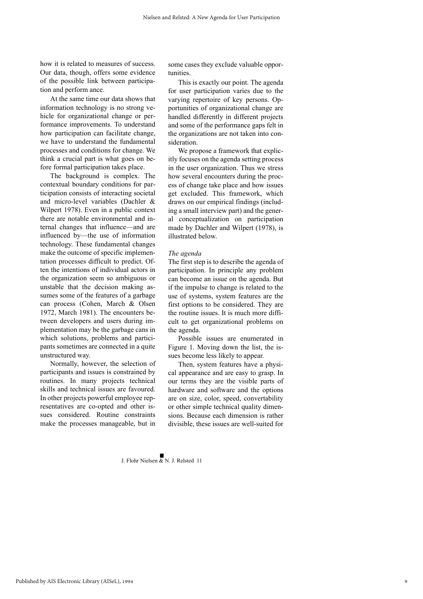how it is related to measures of success. Our data, though, offers some evidence of the possible link between participation and perform ance.

At the same time our data shows that information technology is no strong vehicle for organizational change or performance improvements. To understand how participation can facilitate change, we have to understand the fundamental processes and conditions for change. We think a crucial part is what goes on before formal participation takes place.

The background is complex. The contextual boundary conditions for participation consists of interacting societal and micro-level variables (Dachler & Wilpert 1978). Even in a public context there are notable environmental and internal changes that influence—and are influenced by—the use of information technology. These fundamental changes make the outcome of specific implementation processes difficult to predict. Often the intentions of individual actors in the organization seem so ambiguous or unstable that the decision making assumes some of the features of a garbage can process (Cohen, March & Olsen 1972, March 1981). The encounters between developers and users during implementation may be the garbage cans in which solutions, problems and participants sometimes are connected in a quite unstructured way.

Normally, however, the selection of participants and issues is constrained by routines. In many projects technical skills and technical issues are favoured. In other projects powerful employee representatives are co-opted and other issues considered. Routine constraints make the processes manageable, but in

some cases they exclude valuable opportunities.

This is exactly our point. The agenda for user participation varies due to the varying repertoire of key persons. Opportunities of organizational change are handled differently in different projects and some of the performance gaps felt in the organizations are not taken into consideration.

We propose a framework that explicitly focuses on the agenda setting process in the user organization. Thus we stress how several encounters during the process of change take place and how issues get excluded. This framework, which draws on our empirical findings (including a small interview part) and the general conceptualization on participation made by Dachler and Wilpert (1978), is illustrated below.

#### *The agenda*

The first step is to describe the agenda of participation. In principle any problem can become an issue on the agenda. But if the impulse to change is related to the use of systems, system features are the first options to be considered. They are the routine issues. It is much more difficult to get organizational problems on the agenda.

Possible issues are enumerated in Figure 1. Moving down the list, the issues become less likely to appear.

Then, system features have a physical appearance and are easy to grasp. In our terms they are the visible parts of hardware and software and the options are on size, color, speed, convertability or other simple technical quality dimensions. Because each dimension is rather divisible, these issues are well-suited for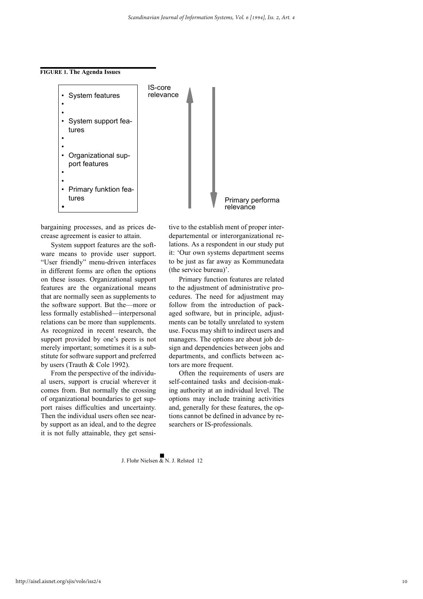



bargaining processes, and as prices decrease agreement is easier to attain.

System support features are the software means to provide user support. "User friendly" menu-driven interfaces in different forms are often the options on these issues. Organizational support features are the organizational means that are normally seen as supplements to the software support. But the—more or less formally established—interpersonal relations can be more than supplements. As recognized in recent research, the support provided by one's peers is not merely important; sometimes it is a substitute for software support and preferred by users (Trauth & Cole 1992).

From the perspective of the individual users, support is crucial wherever it comes from. But normally the crossing of organizational boundaries to get support raises difficulties and uncertainty. Then the individual users often see nearby support as an ideal, and to the degree it is not fully attainable, they get sensi-

tive to the establish ment of proper interdepartemental or interorganizational relations. As a respondent in our study put it: 'Our own systems department seems to be just as far away as Kommunedata (the service bureau)'.

Primary function features are related to the adjustment of administrative procedures. The need for adjustment may follow from the introduction of packaged software, but in principle, adjustments can be totally unrelated to system use. Focus may shift to indirect users and managers. The options are about job design and dependencies between jobs and departments, and conflicts between actors are more frequent.

Often the requirements of users are self-contained tasks and decision-making authority at an individual level. The options may include training activities and, generally for these features, the options cannot be defined in advance by researchers or IS-professionals.

 $\blacksquare$ <br>I. Flohr Nielsen & N. J. Relsted 12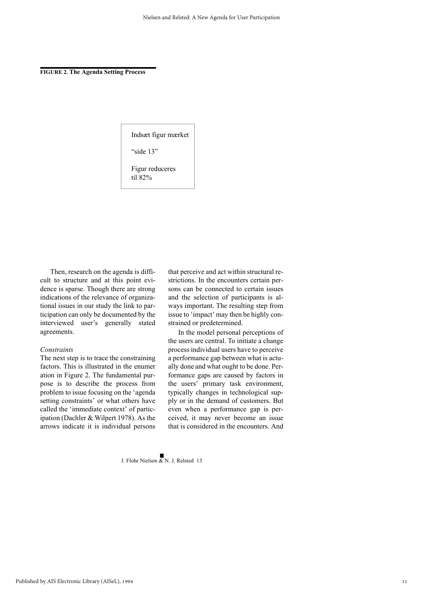**FIGURE 2. The Agenda Setting Process**

Indsæt figur mærket

"side 13"

Figur reduceres til 82%

Then, research on the agenda is difficult to structure and at this point evidence is sparse. Though there are strong indications of the relevance of organizational issues in our study the link to participation can only be documented by the interviewed user's generally stated agreements.

#### *Constraints*

The next step is to trace the constraining factors. This is illustrated in the enumer ation in Figure 2. The fundamental purpose is to describe the process from problem to issue focusing on the 'agenda setting constraints' or what others have called the 'immediate context' of participation (Dachler & Wilpert 1978). As the arrows indicate it is individual persons that perceive and act within structural restrictions. In the encounters certain persons can be connected to certain issues and the selection of participants is always important. The resulting step from issue to 'impact' may then be highly constrained or predetermined.

In the model personal perceptions of the users are central. To initiate a change process individual users have to perceive a performance gap between what is actually done and what ought to be done. Performance gaps are caused by factors in the users' primary task environment, typically changes in technological supply or in the demand of customers. But even when a performance gap is perceived, it may never become an issue that is considered in the encounters. And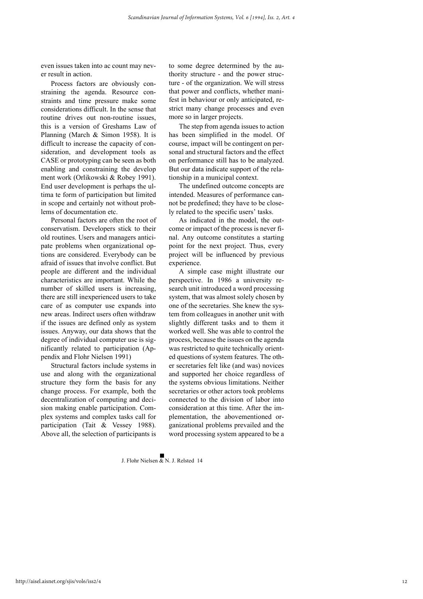even issues taken into ac count may never result in action.

Process factors are obviously constraining the agenda. Resource constraints and time pressure make some considerations difficult. In the sense that routine drives out non-routine issues this is a version of Greshams Law of Planning (March & Simon 1958). It is difficult to increase the capacity of consideration, and development tools as CASE or prototyping can be seen as both enabling and constraining the develop ment work (Orlikowski & Robey 1991). End user development is perhaps the ultima te form of participation but limited in scope and certainly not without problems of documentation etc.

Personal factors are often the root of conservatism. Developers stick to their old routines. Users and managers anticipate problems when organizational options are considered. Everybody can be afraid of issues that involve conflict. But people are different and the individual characteristics are important. While the number of skilled users is increasing, there are still inexperienced users to take care of as computer use expands into new areas. Indirect users often withdraw if the issues are defined only as system issues. Anyway, our data shows that the degree of individual computer use is significantly related to participation (Appendix and Flohr Nielsen 1991)

Structural factors include systems in use and along with the organizational structure they form the basis for any change process. For example, both the decentralization of computing and decision making enable participation. Complex systems and complex tasks call for participation (Tait & Vessey 1988). Above all, the selection of participants is

to some degree determined by the authority structure - and the power structure - of the organization. We will stress that power and conflicts, whether manifest in behaviour or only anticipated, restrict many change processes and even more so in larger projects.

The step from agenda issues to action has been simplified in the model. Of course, impact will be contingent on personal and structural factors and the effect on performance still has to be analyzed. But our data indicate support of the relationship in a municipal context.

The undefined outcome concepts are intended. Measures of performance cannot be predefined; they have to be closely related to the specific users' tasks.

As indicated in the model, the outcome or impact of the process is never final. Any outcome constitutes a starting point for the next project. Thus, every project will be influenced by previous experience.

A simple case might illustrate our perspective. In 1986 a university research unit introduced a word processing system, that was almost solely chosen by one of the secretaries. She knew the system from colleagues in another unit with slightly different tasks and to them it worked well. She was able to control the process, because the issues on the agenda was restricted to quite technically oriented questions of system features. The other secretaries felt like (and was) novices and supported her choice regardless of the systems obvious limitations. Neither secretaries or other actors took problems connected to the division of labor into consideration at this time. After the implementation, the abovementioned organizational problems prevailed and the word processing system appeared to be a

 $\blacksquare$ <br>I. Flohr Nielsen & N. J. Relsted 14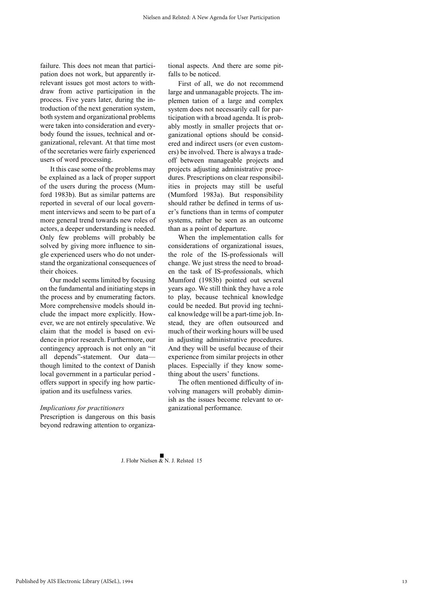failure. This does not mean that participation does not work, but apparently irrelevant issues got most actors to withdraw from active participation in the process. Five years later, during the introduction of the next generation system, both system and organizational problems were taken into consideration and everybody found the issues, technical and organizational, relevant. At that time most of the secretaries were fairly experienced users of word processing.

It this case some of the problems may be explained as a lack of proper support of the users during the process (Mumford 1983b). But as similar patterns are reported in several of our local government interviews and seem to be part of a more general trend towards new roles of actors, a deeper understanding is needed. Only few problems will probably be solved by giving more influence to single experienced users who do not understand the organizational consequences of their choices.

Our model seems limited by focusing on the fundamental and initiating steps in the process and by enumerating factors. More comprehensive models should include the impact more explicitly. However, we are not entirely speculative. We claim that the model is based on evidence in prior research. Furthermore, our contingency approach is not only an "it all depends"-statement. Our data though limited to the context of Danish local government in a particular period offers support in specify ing how participation and its usefulness varies.

#### *Implications for practitioners*

Prescription is dangerous on this basis beyond redrawing attention to organizational aspects. And there are some pitfalls to be noticed.

First of all, we do not recommend large and unmanagable projects. The implemen tation of a large and complex system does not necessarily call for participation with a broad agenda. It is probably mostly in smaller projects that organizational options should be considered and indirect users (or even customers) be involved. There is always a tradeoff between manageable projects and projects adjusting administrative procedures. Prescriptions on clear responsibilities in projects may still be useful (Mumford 1983a). But responsibility should rather be defined in terms of user's functions than in terms of computer systems, rather be seen as an outcome than as a point of departure.

When the implementation calls for considerations of organizational issues, the role of the IS-professionals will change. We just stress the need to broaden the task of IS-professionals, which Mumford (1983b) pointed out several years ago. We still think they have a role to play, because technical knowledge could be needed. But provid ing technical knowledge will be a part-time job. Instead, they are often outsourced and much of their working hours will be used in adjusting administrative procedures. And they will be useful because of their experience from similar projects in other places. Especially if they know something about the users' functions.

The often mentioned difficulty of involving managers will probably diminish as the issues become relevant to organizational performance.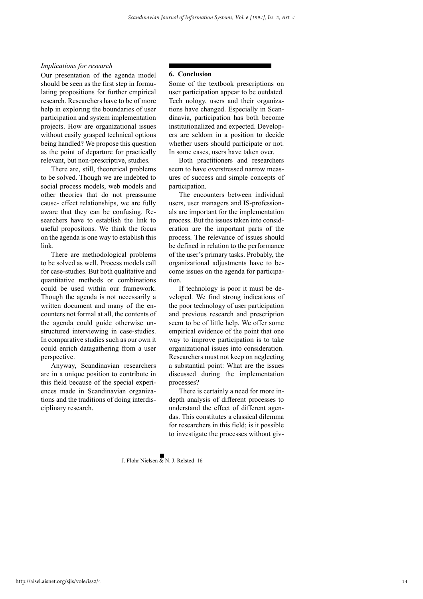## *Implications for research*

Our presentation of the agenda model should be seen as the first step in formulating propositions for further empirical research. Researchers have to be of more help in exploring the boundaries of user participation and system implementation projects. How are organizational issues without easily grasped technical options being handled? We propose this question as the point of departure for practically relevant, but non-prescriptive, studies.

There are, still, theoretical problems to be solved. Though we are indebted to social process models, web models and other theories that do not preassume cause- effect relationships, we are fully aware that they can be confusing. Researchers have to establish the link to useful propositons. We think the focus on the agenda is one way to establish this link.

There are methodological problems to be solved as well. Process models call for case-studies. But both qualitative and quantitative methods or combinations could be used within our framework. Though the agenda is not necessarily a written document and many of the encounters not formal at all, the contents of the agenda could guide otherwise unstructured interviewing in case-studies. In comparative studies such as our own it could enrich datagathering from a user perspective.

Anyway, Scandinavian researchers are in a unique position to contribute in this field because of the special experiences made in Scandinavian organizations and the traditions of doing interdisciplinary research.

#### **6. Conclusion**

Some of the textbook prescriptions on user participation appear to be outdated. Tech nology, users and their organizations have changed. Especially in Scandinavia, participation has both become institutionalized and expected. Developers are seldom in a position to decide whether users should participate or not. In some cases, users have taken over.

Both practitioners and researchers seem to have overstressed narrow measures of success and simple concepts of participation.

The encounters between individual users, user managers and IS-professionals are important for the implementation process. But the issues taken into consideration are the important parts of the process. The relevance of issues should be defined in relation to the performance of the user's primary tasks. Probably, the organizational adjustments have to become issues on the agenda for participation.

If technology is poor it must be developed. We find strong indications of the poor technology of user participation and previous research and prescription seem to be of little help. We offer some empirical evidence of the point that one way to improve participation is to take organizational issues into consideration. Researchers must not keep on neglecting a substantial point: What are the issues discussed during the implementation processes?

There is certainly a need for more indepth analysis of different processes to understand the effect of different agendas. This constitutes a classical dilemma for researchers in this field; is it possible to investigate the processes without giv-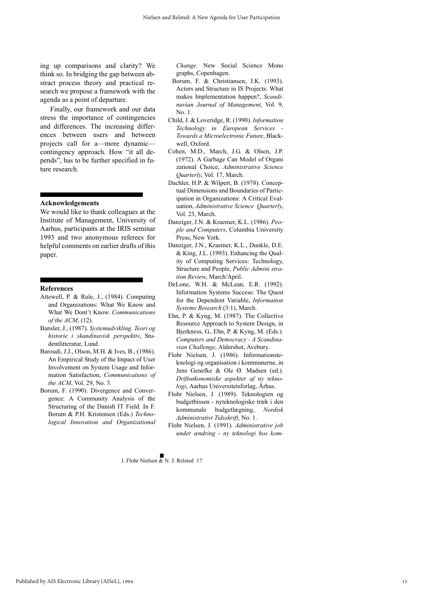ing up comparisons and clarity? We think so. In bridging the gap between abstract process theory and practical research we propose a framework with the agenda as a point of departure.

Finally, our framework and our data stress the importance of contingencies and differences. The increasing differences between users and between projects call for a—more dynamic contingency approach. How "it all depends", has to be further specified in future research.

**Acknowledgements**

We would like to thank colleagues at the Institute of Management, University of Aarhus, participants at the IRIS seminar 1993 and two anonymous referees for helpful comments on earlier drafts of this paper.

#### **References**

- Attewell, P. & Rule, J., (1984). Computing and Organizations: What We Know and What We Dont't Know. *Communications of the ACM*, (12).
- Bansler, J., (1987). *Systemudvikling. Teori og historie i skandinavisk perspektiv*, Studentlitteratur, Lund.
- Baroudi, J.J., Olson, M.H. & Ives, B., (1986). An Empirical Study of the Impact of User Involvement on System Usage and Information Satisfaction, *Communications of the ACM*, Vol. 29, No. 3.
- Borum, F. (1990). Divergence and Convergence: A Community Analysis of the Structuring of the Danish IT Field. In F. Borum & P.H. Kristensen (Eds.) *Technological Innovation and Organizational*

*Change*. New Social Science Mono graphs, Copenhagen.

- Borum, F. & Christiansen, J.K. (1993). Actors and Structure in IS Projects: What makes Implementation happen?, *Scandinavian Journal of Management*, Vol. 9, No. 1.
- Child, J. & Loveridge, R. (1990). *Information Technology in European Services - Towards a Microelectronic Future*, Blackwell, Oxford.
- Cohen, M.D., March, J.G. & Olsen, J.P. (1972). A Garbage Can Model of Organi zational Choice, *Administrative Science Quarterly*, Vol. 17, March.
- Dachler, H.P. & Wilpert, B. (1978). Conceptual Dimensions and Boundaries of Participation in Organizations: A Critical Evaluation, *Administrative Science Quarterly*, Vol. 23, March.
- Danziger, J.N. & Kraemer, K.L. (1986). *People and Computers*, Columbia University Press, New York.
- Danziger, J.N., Kraemer, K.L., Dunkle, D.E. & King, J.L. (1993). Enhancing the Quality of Computing Services: Technology, Structure and People, *Public Admini stration Review*, March/April.
- DeLone, W.H. & McLean, E.R. (1992). Information Systems Success: The Quest for the Dependent Variable, *Information Systems Research* (3:1), March.
- Ehn, P. & Kyng, M. (1987). The Collective Resource Approach to System Design, in Bjerkness, G., Ehn, P. & Kyng, M. (Eds.). *Computers and Democracy - A Scandinavian Challenge*, Aldershot, Avebury.
- Flohr Nielsen, J. (1986). Informationsteknologi og organisation i kommunerne, in Jens Genefke & Ole Ø. Madsen (ed.). *Driftsøkonomiske aspekter af ny teknologi*, Aarhus Universitetsforlag, Århus.
- Flohr Nielsen, J. (1989). Teknologien og budgetbissen - nyteknologiske træk i den kommunale budgetlægning, *Nordisk Administrativt Tidsskrift*, No. 1.
- Flohr Nielsen, J. (1991). *Administrative job under ændring - ny teknologi hos kom-*

 $\blacksquare$ <br>J. Flohr Nielsen & N. J. Relsted 17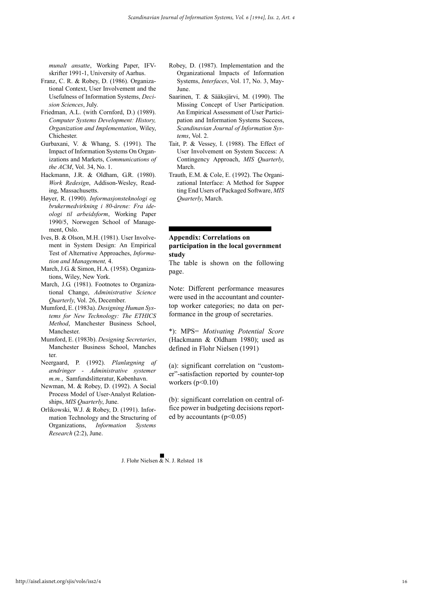*munalt ansatte*, Working Paper, IFVskrifter 1991-1, University of Aarhus.

- Franz, C. R. & Robey, D. (1986). Organizational Context, User Involvement and the Usefulness of Information Systems, *Decision Sciences*, July.
- Friedman, A.L. (with Cornford, D.) (1989). *Computer Systems Development: History, Organization and Implementation*, Wiley, Chichester.
- Gurbaxani, V. & Whang, S. (1991). The Impact of Information Systems On Organizations and Markets, *Communications of the ACM*, Vol. 34, No. 1.
- Hackmann, J.R. & Oldham, G.R. (1980). *Work Redesign*, Addison-Wesley, Reading, Massachusetts.
- Høyer, R. (1990). *Informasjonsteknologi og brukermedvirkning i 80-årene: Fra ideologi til arbeidsform*, Working Paper 1990/5, Norwegen School of Management, Oslo.
- Ives, B. & Olson, M.H. (1981). User Involvement in System Design: An Empirical Test of Alternative Approaches, *Information and Management,* 4.
- March, J.G. & Simon, H.A. (1958). Organizations, Wiley, New York.
- March, J.G. (1981). Footnotes to Organizational Change, *Administrative Science Quarterly*, Vol. 26, December.
- Mumford, E. (1983a). *Designing Human Systems for New Technology: The ETHICS Method*, Manchester Business School, Manchester.
- Mumford, E. (1983b). *Designing Secretaries*, Manchester Business School, Manches ter.
- Neergaard, P. (1992). *Planlægning af ændringer - Administrative systemer m.m.*, Samfundslitteratur, København.
- Newman, M. & Robey, D. (1992). A Social Process Model of User-Analyst Relationships, *MIS Quarterly*, June.
- Orlikowski, W.J. & Robey, D. (1991). Information Technology and the Structuring of Organizations, *Information Systems Research* (2:2), June.
- Robey, D. (1987). Implementation and the Organizational Impacts of Information Systems, *Interfaces*, Vol. 17, No. 3, May-June.
- Saarinen, T. & Sääksjärvi, M. (1990). The Missing Concept of User Participation. An Empirical Assessment of User Participation and Information Systems Success, *Scandinavian Journal of Information Systems*, Vol. 2.
- Tait, P. & Vessey, I. (1988). The Effect of User Involvement on System Success: A Contingency Approach, *MIS Quarterly*, March.
- Trauth, E.M. & Cole, E. (1992). The Organizational Interface: A Method for Suppor ting End Users of Packaged Software, *MIS Quarterly*, March.

## **Appendix: Correlations on participation in the local government study**

The table is shown on the following page.

Note: Different performance measures were used in the accountant and countertop worker categories; no data on performance in the group of secretaries.

\*): MPS= *Motivating Potential Score* (Hackmann & Oldham 1980); used as defined in Flohr Nielsen (1991)

(a): significant correlation on "customer"-satisfaction reported by counter-top workers  $(p<0.10)$ 

(b): significant correlation on central office power in budgeting decisions reported by accountants  $(p<0.05)$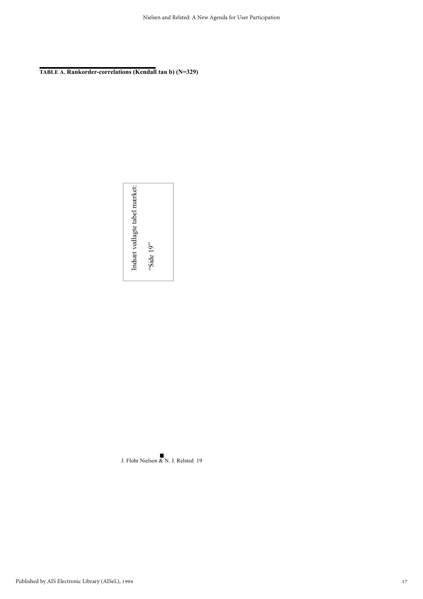**TABLE A. Rankorder-correlations (Kendall tau b) (N=329)**